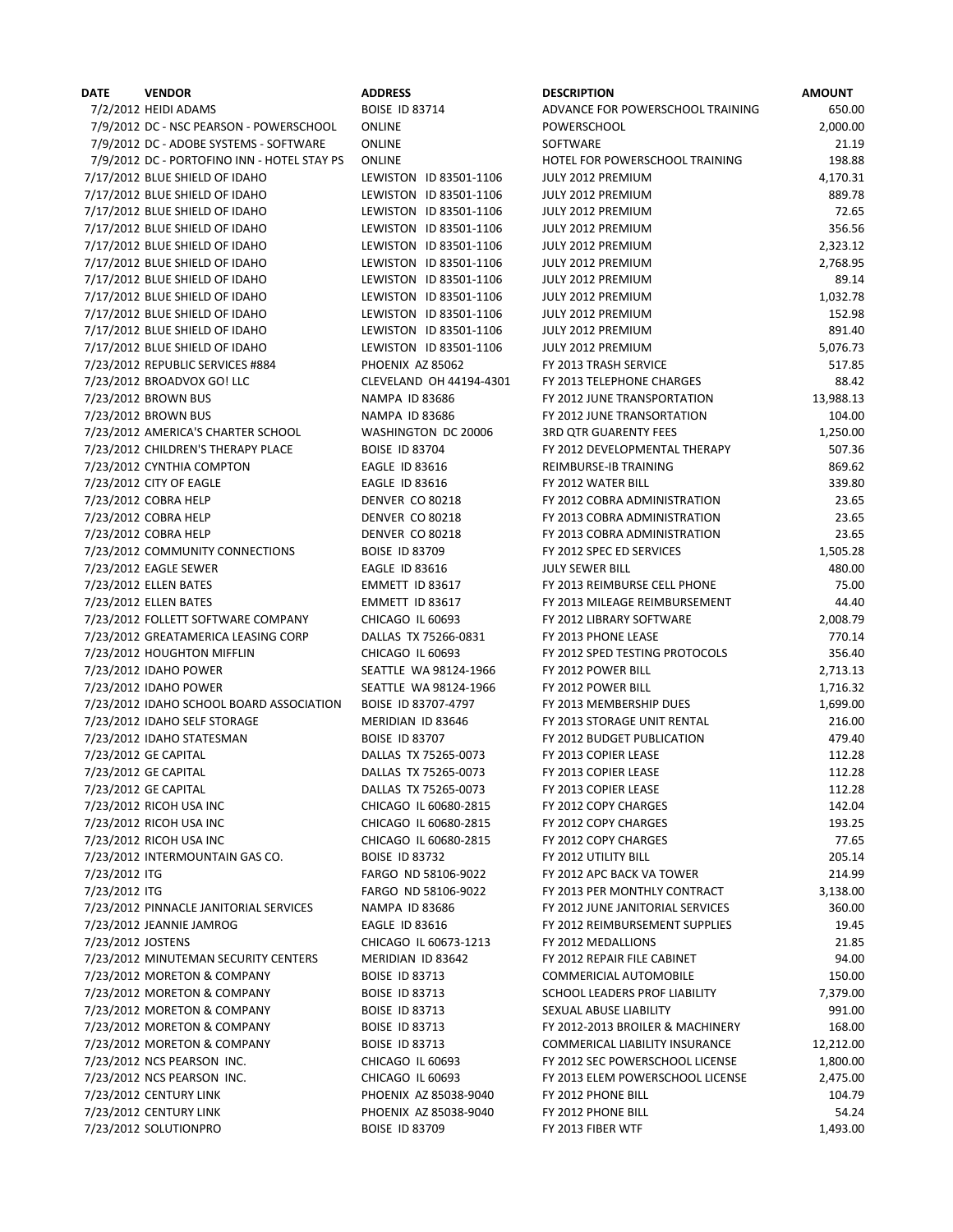| DATE              | <b>VENDOR</b>                                  |
|-------------------|------------------------------------------------|
|                   | 7/2/2012 HEIDI ADAMS                           |
|                   | 7/9/2012 DC - NSC PEARSON - POWERSCHOOL        |
|                   | 7/9/2012 DC - ADOBE SYSTEMS - SOFTWARE         |
|                   | 7/9/2012 DC - PORTOFINO INN - HOTEL STAY PS    |
|                   | 7/17/2012 BLUE SHIELD OF IDAHO                 |
|                   | 7/17/2012 BLUE SHIELD OF IDAHO                 |
|                   | 7/17/2012 BLUE SHIELD OF IDAHO                 |
|                   |                                                |
|                   | 7/17/2012 BLUE SHIELD OF IDAHO                 |
|                   | 7/17/2012 BLUE SHIELD OF IDAHO                 |
|                   | 7/17/2012 BLUE SHIELD OF IDAHO                 |
|                   | 7/17/2012 BLUE SHIELD OF IDAHO                 |
|                   | 7/17/2012 BLUE SHIELD OF IDAHO                 |
|                   | 7/17/2012 BLUE SHIELD OF IDAHO                 |
|                   | 7/17/2012 BLUE SHIELD OF IDAHO                 |
|                   | 7/17/2012 BLUE SHIELD OF IDAHO                 |
|                   | 7/23/2012 REPUBLIC SERVICES #884               |
|                   | 7/23/2012 BROADVOX GO! LLC                     |
|                   | 7/23/2012 BROWN BUS                            |
|                   | 7/23/2012 BROWN BUS                            |
|                   | 7/23/2012 AMERICA'S CHARTER SCHOOL             |
|                   | 7/23/2012 CHILDREN'S THERAPY PLACE             |
|                   | 7/23/2012 CYNTHIA COMPTON                      |
|                   | 7/23/2012 CITY OF EAGLE                        |
|                   | 7/23/2012 COBRA HELP                           |
|                   | 7/23/2012 COBRA HELP                           |
|                   | 7/23/2012 COBRA HELP                           |
|                   | 7/23/2012 COMMUNITY CONNECTIONS                |
|                   |                                                |
|                   | 7/23/2012 EAGLE SEWER<br>7/23/2012 ELLEN BATES |
|                   |                                                |
|                   | 7/23/2012 ELLEN BATES                          |
|                   | 7/23/2012 FOLLETT SOFTWARE COMPANY             |
|                   | 7/23/2012 GREATAMERICA LEASING CORP            |
|                   | 7/23/2012 HOUGHTON MIFFLIN                     |
|                   | 7/23/2012 IDAHO POWER                          |
|                   | 7/23/2012 IDAHO POWER                          |
|                   | 7/23/2012 IDAHO SCHOOL BOARD ASSOCIATION       |
|                   | 7/23/2012 IDAHO SELF STORAGE                   |
|                   | 7/23/2012 IDAHO STATESMAN                      |
|                   | 7/23/2012 GE CAPITAL                           |
|                   | 7/23/2012 GE CAPITAL                           |
|                   | 7/23/2012 GE CAPITAL                           |
|                   | 7/23/2012 RICOH USA INC                        |
|                   | 7/23/2012 RICOH USA INC                        |
|                   | 7/23/2012 RICOH USA INC                        |
|                   | 7/23/2012 INTERMOUNTAIN GAS CO.                |
| 7/23/2012 ITG     |                                                |
| 7/23/2012 ITG     |                                                |
|                   | 7/23/2012 PINNACLE JANITORIAL SERVICES         |
|                   | 7/23/2012 JEANNIE JAMROG                       |
| 7/23/2012 JOSTENS |                                                |
|                   | 7/23/2012 MINUTEMAN SECURITY CENTERS           |
|                   | 7/23/2012 MORETON & COMPANY                    |
|                   | 7/23/2012 MORETON & COMPANY                    |
|                   | 7/23/2012 MORETON & COMPANY                    |
|                   | 7/23/2012 MORETON & COMPANY                    |
|                   |                                                |
|                   | 7/23/2012 MORETON & COMPANY                    |
|                   | 7/23/2012 NCS PEARSON INC.                     |
|                   | 7/23/2012 NCS PEARSON INC.                     |
|                   | 7/23/2012 CENTURY LINK                         |
|                   | 7/23/2012 CENTURY LINK                         |
|                   | 7/23/2012 SOLUTIONPRO                          |

| <b>\DDRESS</b>                        |
|---------------------------------------|
| <b>OISE ID 83714</b>                  |
| <b>DNLINE</b>                         |
| )NLINE                                |
| )NLINE                                |
| EWISTON<br>ID 83501-1106              |
| EWISTON<br>ID 83501-1106              |
| EWISTON ID 83501-1106                 |
| EWISTON<br>ID 83501-1106              |
| EWISTON<br>ID 83501-1106              |
| EWISTON<br>ID 83501-1106              |
| EWISTON<br>ID 83501-1106              |
| EWISTON<br>ID 83501-1106              |
| EWISTON ID 83501-1106                 |
| EWISTON ID 83501-1106                 |
| EWISTON ID 83501-1106                 |
| HOENIX AZ 85062                       |
| LEVELAND OH 44194-430:                |
| IAMPA ID 83686                        |
| IAMPA ID 83686                        |
| VASHINGTON DC 20006                   |
| <b>OISE ID 83704</b>                  |
| AGLE ID 83616                         |
| AGLE ID 83616                         |
| ENVER CO 80218                        |
| ENVER CO 80218                        |
| DENVER CO 80218                       |
| OISE ID 83709                         |
| AGLE ID 83616                         |
| MMETT ID 83617                        |
| MMETT ID 83617                        |
| HICAGO IL 60693                       |
| )ALLAS TX 75266-0831                  |
| HICAGO IL 60693                       |
| <b>EATTLE WA 98124-1966</b>           |
| EATTLE WA 98124-1966                  |
| OISE ID 83707-4797                    |
| <b><i>AERIDIAN ID 83646</i></b>       |
| OISE ID 83707                         |
| ALLAS TX 75265-0073                   |
| ALLAS TX 75265-0073                   |
| )ALLAS TX 75265-0073                  |
| HICAGO IL 60680-2815                  |
| HICAGO IL 60680-2815                  |
| HICAGO IL 60680-2815                  |
| OISE ID 83732                         |
| ARGO ND 58106-9022                    |
| ARGO ND 58106-9022                    |
| JAMPA ID 83686                        |
| AGLE ID 83616                         |
| HICAGO IL 60673-1213                  |
| <b><i>AERIDIAN ID 83642</i></b>       |
| <b>OISE ID 83713</b>                  |
| 80ISE ID 83713                        |
| <b>OISE ID 83713</b><br>OISE ID 83713 |
| OISE ID 83713                         |
|                                       |
| HICAGO IL 60693                       |
| Hicago il 60693:                      |
| HOENIX AZ 85038-9040                  |
| HOENIX AZ 85038-9040                  |
| OISE ID 83709                         |

| DATE              | <b>VENDOR</b>                               | <b>ADDRESS</b>          | <b>DESCRIPTION</b>               | <b>AMOUNT</b> |
|-------------------|---------------------------------------------|-------------------------|----------------------------------|---------------|
|                   | 7/2/2012 HEIDI ADAMS                        | <b>BOISE ID 83714</b>   | ADVANCE FOR POWERSCHOOL TRAINING | 650.00        |
|                   | 7/9/2012 DC - NSC PEARSON - POWERSCHOOL     | <b>ONLINE</b>           | POWERSCHOOL                      | 2,000.00      |
|                   | 7/9/2012 DC - ADOBE SYSTEMS - SOFTWARE      | <b>ONLINE</b>           | SOFTWARE                         | 21.19         |
|                   | 7/9/2012 DC - PORTOFINO INN - HOTEL STAY PS | <b>ONLINE</b>           | HOTEL FOR POWERSCHOOL TRAINING   | 198.88        |
|                   | 7/17/2012 BLUE SHIELD OF IDAHO              | LEWISTON ID 83501-1106  | JULY 2012 PREMIUM                | 4,170.31      |
|                   | 7/17/2012 BLUE SHIELD OF IDAHO              | LEWISTON ID 83501-1106  | JULY 2012 PREMIUM                | 889.78        |
|                   | 7/17/2012 BLUE SHIELD OF IDAHO              | LEWISTON ID 83501-1106  | JULY 2012 PREMIUM                | 72.65         |
|                   | 7/17/2012 BLUE SHIELD OF IDAHO              | LEWISTON ID 83501-1106  | JULY 2012 PREMIUM                | 356.56        |
|                   | 7/17/2012 BLUE SHIELD OF IDAHO              | LEWISTON ID 83501-1106  | JULY 2012 PREMIUM                | 2,323.12      |
|                   | 7/17/2012 BLUE SHIELD OF IDAHO              | LEWISTON ID 83501-1106  | JULY 2012 PREMIUM                | 2,768.95      |
|                   | 7/17/2012 BLUE SHIELD OF IDAHO              | LEWISTON ID 83501-1106  | JULY 2012 PREMIUM                | 89.14         |
|                   | 7/17/2012 BLUE SHIELD OF IDAHO              | LEWISTON ID 83501-1106  | JULY 2012 PREMIUM                | 1,032.78      |
|                   | 7/17/2012 BLUE SHIELD OF IDAHO              | LEWISTON ID 83501-1106  | JULY 2012 PREMIUM                | 152.98        |
|                   | 7/17/2012 BLUE SHIELD OF IDAHO              | LEWISTON ID 83501-1106  | JULY 2012 PREMIUM                | 891.40        |
|                   | 7/17/2012 BLUE SHIELD OF IDAHO              | LEWISTON ID 83501-1106  | JULY 2012 PREMIUM                | 5,076.73      |
|                   | 7/23/2012 REPUBLIC SERVICES #884            | PHOENIX AZ 85062        | FY 2013 TRASH SERVICE            | 517.85        |
|                   | 7/23/2012 BROADVOX GO! LLC                  | CLEVELAND OH 44194-4301 | FY 2013 TELEPHONE CHARGES        | 88.42         |
|                   | 7/23/2012 BROWN BUS                         | <b>NAMPA ID 83686</b>   | FY 2012 JUNE TRANSPORTATION      | 13,988.13     |
|                   | 7/23/2012 BROWN BUS                         | <b>NAMPA ID 83686</b>   | FY 2012 JUNE TRANSORTATION       | 104.00        |
|                   | 7/23/2012 AMERICA'S CHARTER SCHOOL          | WASHINGTON DC 20006     | <b>3RD QTR GUARENTY FEES</b>     | 1,250.00      |
|                   | 7/23/2012 CHILDREN'S THERAPY PLACE          | <b>BOISE ID 83704</b>   | FY 2012 DEVELOPMENTAL THERAPY    | 507.36        |
|                   | 7/23/2012 CYNTHIA COMPTON                   | <b>EAGLE ID 83616</b>   | REIMBURSE-IB TRAINING            | 869.62        |
|                   | 7/23/2012 CITY OF EAGLE                     | <b>EAGLE ID 83616</b>   | FY 2012 WATER BILL               | 339.80        |
|                   | 7/23/2012 COBRA HELP                        | DENVER CO 80218         | FY 2012 COBRA ADMINISTRATION     | 23.65         |
|                   | 7/23/2012 COBRA HELP                        | <b>DENVER CO 80218</b>  | FY 2013 COBRA ADMINISTRATION     | 23.65         |
|                   | 7/23/2012 COBRA HELP                        | DENVER CO 80218         | FY 2013 COBRA ADMINISTRATION     | 23.65         |
|                   | 7/23/2012 COMMUNITY CONNECTIONS             | <b>BOISE ID 83709</b>   | FY 2012 SPEC ED SERVICES         | 1,505.28      |
|                   | 7/23/2012 EAGLE SEWER                       | <b>EAGLE ID 83616</b>   | <b>JULY SEWER BILL</b>           | 480.00        |
|                   | 7/23/2012 ELLEN BATES                       | EMMETT ID 83617         | FY 2013 REIMBURSE CELL PHONE     | 75.00         |
|                   | 7/23/2012 ELLEN BATES                       | EMMETT ID 83617         | FY 2013 MILEAGE REIMBURSEMENT    | 44.40         |
|                   | 7/23/2012 FOLLETT SOFTWARE COMPANY          | CHICAGO IL 60693        | FY 2012 LIBRARY SOFTWARE         | 2,008.79      |
|                   | 7/23/2012 GREATAMERICA LEASING CORP         | DALLAS TX 75266-0831    | FY 2013 PHONE LEASE              | 770.14        |
|                   | 7/23/2012 HOUGHTON MIFFLIN                  | CHICAGO IL 60693        | FY 2012 SPED TESTING PROTOCOLS   | 356.40        |
|                   | 7/23/2012 IDAHO POWER                       | SEATTLE WA 98124-1966   | FY 2012 POWER BILL               | 2,713.13      |
|                   | 7/23/2012 IDAHO POWER                       | SEATTLE WA 98124-1966   | FY 2012 POWER BILL               | 1,716.32      |
|                   | 7/23/2012 IDAHO SCHOOL BOARD ASSOCIATION    | BOISE ID 83707-4797     | FY 2013 MEMBERSHIP DUES          | 1,699.00      |
|                   | 7/23/2012 IDAHO SELF STORAGE                | MERIDIAN ID 83646       | FY 2013 STORAGE UNIT RENTAL      | 216.00        |
|                   | 7/23/2012 IDAHO STATESMAN                   | <b>BOISE ID 83707</b>   | FY 2012 BUDGET PUBLICATION       | 479.40        |
|                   | 7/23/2012 GE CAPITAL                        | DALLAS TX 75265-0073    | FY 2013 COPIER LEASE             | 112.28        |
|                   | 7/23/2012 GE CAPITAL                        | DALLAS TX 75265-0073    | FY 2013 COPIER LEASE             | 112.28        |
|                   | 7/23/2012 GE CAPITAL                        | DALLAS TX 75265-0073    | FY 2013 COPIER LEASE             | 112.28        |
|                   | 7/23/2012 RICOH USA INC                     | CHICAGO IL 60680-2815   | FY 2012 COPY CHARGES             | 142.04        |
|                   | 7/23/2012 RICOH USA INC                     | CHICAGO IL 60680-2815   | FY 2012 COPY CHARGES             | 193.25        |
|                   | 7/23/2012 RICOH USA INC                     | CHICAGO IL 60680-2815   | FY 2012 COPY CHARGES             | 77.65         |
|                   | 7/23/2012 INTERMOUNTAIN GAS CO.             | <b>BOISE ID 83732</b>   | FY 2012 UTILITY BILL             | 205.14        |
| 7/23/2012 ITG     |                                             | FARGO ND 58106-9022     | FY 2012 APC BACK VA TOWER        | 214.99        |
| 7/23/2012 ITG     |                                             | FARGO ND 58106-9022     | FY 2013 PER MONTHLY CONTRACT     | 3,138.00      |
|                   | 7/23/2012 PINNACLE JANITORIAL SERVICES      | <b>NAMPA ID 83686</b>   | FY 2012 JUNE JANITORIAL SERVICES | 360.00        |
|                   | 7/23/2012 JEANNIE JAMROG                    | <b>EAGLE ID 83616</b>   | FY 2012 REIMBURSEMENT SUPPLIES   | 19.45         |
| 7/23/2012 JOSTENS |                                             | CHICAGO IL 60673-1213   | FY 2012 MEDALLIONS               | 21.85         |
|                   | 7/23/2012 MINUTEMAN SECURITY CENTERS        | MERIDIAN ID 83642       | FY 2012 REPAIR FILE CABINET      | 94.00         |
|                   | 7/23/2012 MORETON & COMPANY                 | <b>BOISE ID 83713</b>   | COMMERICIAL AUTOMOBILE           | 150.00        |
|                   | 7/23/2012 MORETON & COMPANY                 | <b>BOISE ID 83713</b>   | SCHOOL LEADERS PROF LIABILITY    | 7,379.00      |
|                   | 7/23/2012 MORETON & COMPANY                 | <b>BOISE ID 83713</b>   | SEXUAL ABUSE LIABILITY           | 991.00        |
|                   | 7/23/2012 MORETON & COMPANY                 | <b>BOISE ID 83713</b>   | FY 2012-2013 BROILER & MACHINERY | 168.00        |
|                   | 7/23/2012 MORETON & COMPANY                 | <b>BOISE ID 83713</b>   | COMMERICAL LIABILITY INSURANCE   | 12,212.00     |
|                   | 7/23/2012 NCS PEARSON INC.                  | CHICAGO IL 60693        | FY 2012 SEC POWERSCHOOL LICENSE  | 1,800.00      |
|                   | 7/23/2012 NCS PEARSON INC.                  | CHICAGO IL 60693        | FY 2013 ELEM POWERSCHOOL LICENSE | 2,475.00      |
|                   | 7/23/2012 CENTURY LINK                      | PHOENIX AZ 85038-9040   | FY 2012 PHONE BILL               | 104.79        |
|                   | 7/23/2012 CENTURY LINK                      | PHOENIX AZ 85038-9040   | FY 2012 PHONE BILL               | 54.24         |
|                   | 7/23/2012 SOLUTIONPRO                       | <b>BOISE ID 83709</b>   | FY 2013 FIBER WTF                | 1,493.00      |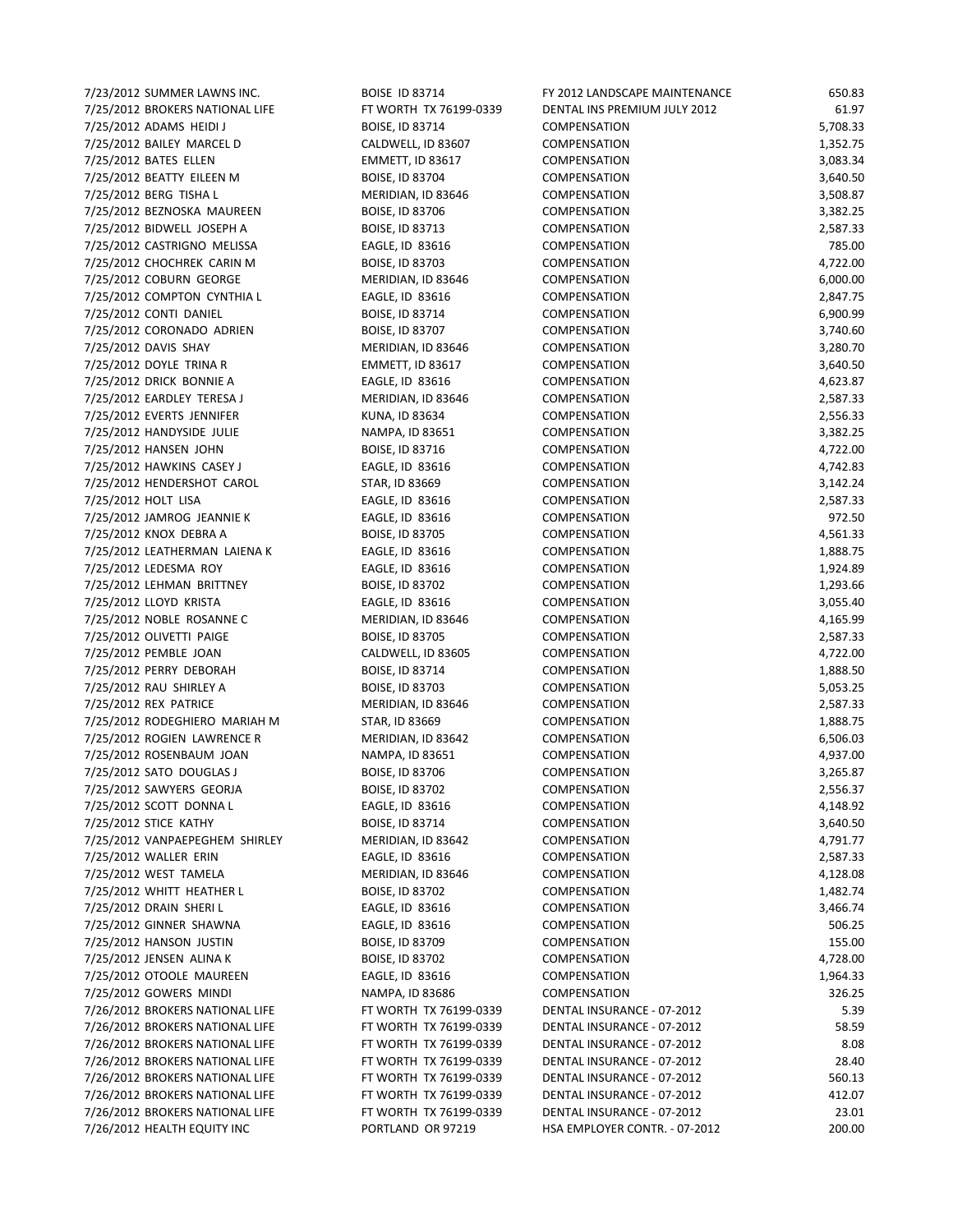7/23/2012 SUMMER LAWNS INC. BOISE ID 83714 FY 2012 LANDSCAPE MAINTENANCE 650.83 7/25/2012 BROKERS NATIONAL LIFE FT WORTH TX 76199-0339 DENTAL INS PREMIUM JULY 2012 61.97 7/25/2012 ADAMS HEIDI J BOISE, ID 83714 COMPENSATION 5,708.33 7/25/2012 BAILEY MARCEL D CALDWELL, ID 83607 COMPENSATION 1,352.75 7/25/2012 BATES ELLEN EMMETT, ID 83617 COMPENSATION 3,083.34 7/25/2012 BEATTY EILEEN M BOISE, ID 83704 COMPENSATION 3,640.50 7/25/2012 BERG TISHA L MERIDIAN, ID 83646 COMPENSATION 3,508.87 7/25/2012 BEZNOSKA MAUREEN BOISE, ID 83706 COMPENSATION 3,382.25 7/25/2012 BIDWELL JOSEPH A BOISE, ID 83713 COMPENSATION 2,587.33 7/25/2012 CASTRIGNO MELISSA EAGLE, ID 83616 COMPENSATION 785.00 7/25/2012 CHOCHREK CARIN M BOISE, ID 83703 COMPENSATION 4,722.00 7/25/2012 COBURN GEORGE MERIDIAN, ID 83646 COMPENSATION 6,000.00 7/25/2012 COMPTON CYNTHIA L EAGLE, ID 83616 COMPENSATION 2,847.75 7/25/2012 CONTI DANIEL BOISE, ID 83714 COMPENSATION 6,900.99 7/25/2012 CORONADO ADRIEN BOISE, ID 83707 COMPENSATION 3,740.60 7/25/2012 DAVIS SHAY MERIDIAN, ID 83646 COMPENSATION 3,280.70 7/25/2012 DOYLE TRINA R EMMETT, ID 83617 COMPENSATION 3,640.50 7/25/2012 DRICK BONNIE A EAGLE, ID 83616 COMPENSATION 4,623.87 7/25/2012 EARDLEY TERESA J MERIDIAN, ID 83646 COMPENSATION 2,587.33 7/25/2012 EVERTS JENNIFER KUNA, ID 83634 COMPENSATION 2,556.33 7/25/2012 HANDYSIDE JULIE NAMPA, ID 83651 COMPENSATION 3,382.25 7/25/2012 HANSEN JOHN BOISE, ID 83716 COMPENSATION 4,722.00 7/25/2012 HAWKINS CASEY J EAGLE, ID 83616 COMPENSATION 4,742.83 7/25/2012 HENDERSHOT CAROL STAR, ID 83669 COMPENSATION 3,142.24 7/25/2012 HOLT LISA EAGLE, ID 83616 COMPENSATION 2,587.33 7/25/2012 JAMROG JEANNIE K EAGLE, ID 83616 COMPENSATION 972.50 7/25/2012 KNOX DEBRA A BOISE, ID 83705 COMPENSATION 4,561.33 7/25/2012 LEATHERMAN LAIENA K EAGLE, ID 83616 COMPENSATION 1,888.75 7/25/2012 LEDESMA ROY EAGLE, ID 83616 COMPENSATION 1,924.89 7/25/2012 LEHMAN BRITTNEY BOISE, ID 83702 COMPENSATION 1,293.66 7/25/2012 LLOYD KRISTA EAGLE, ID 83616 COMPENSATION 3,055.40 7/25/2012 NOBLE ROSANNE C MERIDIAN, ID 83646 COMPENSATION 4,165.99 7/25/2012 OLIVETTI PAIGE BOISE, ID 83705 COMPENSATION 2,587.33 7/25/2012 PEMBLE JOAN CALDWELL, ID 83605 COMPENSATION 4,722.00 7/25/2012 PERRY DEBORAH BOISE, ID 83714 COMPENSATION 1,888.50 7/25/2012 RAU SHIRLEY A BOISE, ID 83703 COMPENSATION 5,053.25 7/25/2012 REX PATRICE MERIDIAN, ID 83646 COMPENSATION 2,587.33 7/25/2012 RODEGHIERO MARIAH M STAR, ID 83669 COMPENSATION 1,888.75 7/25/2012 ROGIEN LAWRENCE R MERIDIAN, ID 83642 COMPENSATION 6,506.03 7/25/2012 ROSENBAUM JOAN NAMPA, ID 83651 COMPENSATION 4,937.00 7/25/2012 SATO DOUGLAS J BOISE, ID 83706 COMPENSATION 3,265.87 7/25/2012 SAWYERS GEORJA BOISE, ID 83702 COMPENSATION 2,556.37 7/25/2012 SCOTT DONNA L EAGLE, ID 83616 COMPENSATION 4,148.92 7/25/2012 STICE KATHY BOISE, ID 83714 COMPENSATION 3,640.50 7/25/2012 VANPAEPEGHEM SHIRLEY MERIDIAN, ID 83642 COMPENSATION 4,791.77 7/25/2012 WALLER ERIN EAGLE, ID 83616 COMPENSATION 2,587.33 7/25/2012 WEST TAMELA MERIDIAN, ID 83646 COMPENSATION 4,128.08 7/25/2012 WHITT HEATHER L BOISE, ID 83702 COMPENSATION 1,482.74 7/25/2012 DRAIN SHERI L EAGLE, ID 83616 COMPENSATION 3,466.74 7/25/2012 GINNER SHAWNA EAGLE, ID 83616 COMPENSATION 506.25 7/25/2012 HANSON JUSTIN BOISE, ID 83709 COMPENSATION 155.00 7/25/2012 JENSEN ALINA K BOISE, ID 83702 COMPENSATION 4,728.00 7/25/2012 OTOOLE MAUREEN EAGLE, ID 83616 COMPENSATION 1,964.33 7/25/2012 GOWERS MINDI NAMPA, ID 83686 COMPENSATION 326.25 7/26/2012 BROKERS NATIONAL LIFE FT WORTH TX 76199-0339 DENTAL INSURANCE - 07-2012 5.39 7/26/2012 BROKERS NATIONAL LIFE FT WORTH TX 76199-0339 DENTAL INSURANCE - 07-2012 58.59 7/26/2012 BROKERS NATIONAL LIFE FT WORTH TX 76199-0339 DENTAL INSURANCE - 07-2012 8.08 7/26/2012 BROKERS NATIONAL LIFE FT WORTH TX 76199-0339 DENTAL INSURANCE - 07-2012 28.40 7/26/2012 BROKERS NATIONAL LIFE FT WORTH TX 76199-0339 DENTAL INSURANCE - 07-2012 560.13 7/26/2012 BROKERS NATIONAL LIFE FT WORTH TX 76199-0339 DENTAL INSURANCE - 07-2012 412.07 7/26/2012 BROKERS NATIONAL LIFE FT WORTH TX 76199-0339 DENTAL INSURANCE - 07-2012 23.01 7/26/2012 HEALTH EQUITY INC PORTLAND OR 97219 HSA EMPLOYER CONTR. - 07-2012 200.00